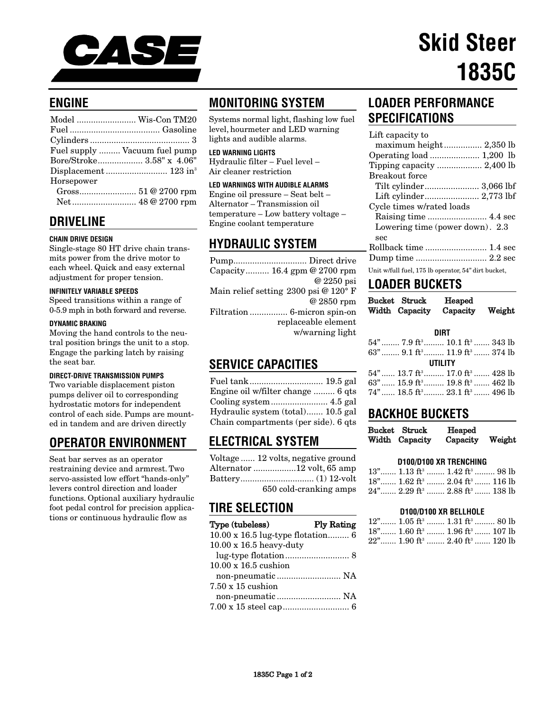

# **Skid Steer 1835C**

# **ENGINE**

|            | Model  Wis-Con TM20           |
|------------|-------------------------------|
|            |                               |
|            |                               |
|            | Fuel supply  Vacuum fuel pump |
|            | Bore/Stroke 3.58" x 4.06"     |
|            |                               |
| Horsepower |                               |
|            |                               |
|            |                               |

**DRIVELINE**

## **CHAIN DRIVE DESIGN**

Single-stage 80 HT drive chain transmits power from the drive motor to each wheel. Quick and easy external adjustment for proper tension.

#### **INFINITELY VARIABLE SPEEDS**

Speed transitions within a range of 0-5.9 mph in both forward and reverse.

## **DYNAMIC BRAKING**

Moving the hand controls to the neutral position brings the unit to a stop. Engage the parking latch by raising the seat bar.

## **DIRECT-DRIVE TRANSMISSION PUMPS**

Two variable displacement piston pumps deliver oil to corresponding hydrostatic motors for independent control of each side. Pumps are mounted in tandem and are driven directly

# **OPERATOR ENVIRONMENT**

Seat bar serves as an operator restraining device and armrest. Two servo-assisted low effort "hands-only" levers control direction and loader functions. Optional auxiliary hydraulic foot pedal control for precision applications or continuous hydraulic flow as

# **MONITORING SYSTEM**

Systems normal light, flashing low fuel level, hourmeter and LED warning lights and audible alarms.

#### **LED WARNING LIGHTS**

Hydraulic filter – Fuel level – Air cleaner restriction

## **LED WARNINGS WITH AUDIBLE ALARMS**

Engine oil pressure – Seat belt – Alternator – Transmission oil temperature – Low battery voltage – Engine coolant temperature

## **HYDRAULIC SYSTEM**

## **SERVICE CAPACITIES**

| Engine oil w/filter change  6 qts    |  |
|--------------------------------------|--|
|                                      |  |
| Hydraulic system (total) 10.5 gal    |  |
| Chain compartments (per side). 6 qts |  |

# **ELECTRICAL SYSTEM**

| Voltage  12 volts, negative ground |
|------------------------------------|
| Alternator 12 volt, 65 amp         |
|                                    |
| 650 cold-cranking amps             |

## **TIRE SELECTION**

| Type (tubeless)                   | <b>Ply Rating</b> |
|-----------------------------------|-------------------|
| 10.00 x 16.5 lug-type flotation 6 |                   |
| $10.00 \times 16.5$ heavy-duty    |                   |
|                                   |                   |
| $10.00 \times 16.5$ cushion       |                   |
|                                   |                   |
| $7.50 \times 15$ cushion          |                   |
|                                   |                   |
|                                   |                   |

# **LOADER PERFORMANCE SPECIFICATIONS**

| Lift capacity to                 |
|----------------------------------|
|                                  |
| Operating load  1,200 lb         |
|                                  |
| <b>Breakout</b> force            |
|                                  |
|                                  |
| Cycle times w/rated loads        |
|                                  |
| Lowering time (power down). 2.3  |
| sec                              |
|                                  |
|                                  |
| TT:+ /C.11 C1 17F 11  E 47 Ji 11 |

## Unit w/full fuel, 175 lb operator, 54" dirt bucket,

## **LOADER BUCKETS**

| Bucket Struck  | Heaped   |        |
|----------------|----------|--------|
| Width Capacity | Capacity | Weight |

#### **DIRT**

|         | 54"……… 7.9 ft <sup>3</sup> ……… 10.1 ft <sup>3</sup> ……… 343 lb |  |  |
|---------|----------------------------------------------------------------|--|--|
|         | 63"……… 9.1 ft <sup>3</sup> ……… 11.9 ft <sup>3</sup> ……… 374 lb |  |  |
| UTILITY |                                                                |  |  |
|         | 54"…… 13.7 ft <sup>3</sup> ……… 17.0 ft <sup>3</sup> ……. 428 lb |  |  |
|         | 63"…… 15.9 ft <sup>3</sup> ……… 19.8 ft <sup>3</sup> ……. 462 lb |  |  |
|         | 74"…… 18.5 ft <sup>3</sup> ……… 23.1 ft <sup>3</sup> ……. 496 lb |  |  |
|         |                                                                |  |  |

## **BACKHOE BUCKETS**

| Bucket Struck  | Heaped   |        |
|----------------|----------|--------|
| Width Capacity | Capacity | Weight |

## **D100/D100 XR TRENCHING**

| $13$ " $1.13 \text{ ft}^3$ $1.42 \text{ ft}^3$ 98 lb  |  |
|-------------------------------------------------------|--|
| $18$ " $1.62 \text{ ft}^3$ $2.04 \text{ ft}^3$ 116 lb |  |
| 24" 2.29 ft <sup>3</sup> 2.88 ft <sup>3</sup> 138 lb  |  |

## **D100/D100 XR BELLHOLE**

| $12$ " 1.05 ft <sup>3</sup> 1.31 ft <sup>3</sup> 80 lb  |  |
|---------------------------------------------------------|--|
| $18$ " 1.60 ft <sup>3</sup> 1.96 ft <sup>3</sup> 107 lb |  |
| $22$ " 1.90 ft <sup>3</sup> 2.40 ft <sup>3</sup> 120 lb |  |